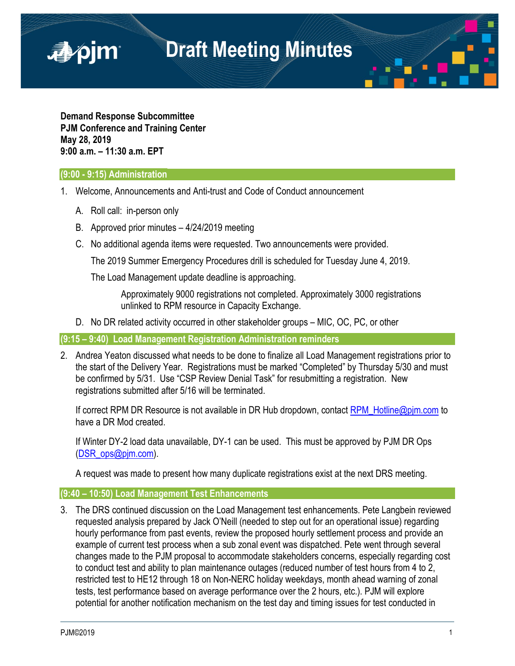

**Demand Response Subcommittee PJM Conference and Training Center May 28, 2019 9:00 a.m. – 11:30 a.m. EPT**

## **(9:00 - 9:15) Administration**

■pjm

- 1. Welcome, Announcements and Anti-trust and Code of Conduct announcement
	- A. Roll call: in-person only
	- B. Approved prior minutes 4/24/2019 meeting
	- C. No additional agenda items were requested. Two announcements were provided.

The 2019 Summer Emergency Procedures drill is scheduled for Tuesday June 4, 2019.

The Load Management update deadline is approaching.

Approximately 9000 registrations not completed. Approximately 3000 registrations unlinked to RPM resource in Capacity Exchange.

D. No DR related activity occurred in other stakeholder groups – MIC, OC, PC, or other

**(9:15 – 9:40) Load Management Registration Administration reminders**

2. Andrea Yeaton discussed what needs to be done to finalize all Load Management registrations prior to the start of the Delivery Year. Registrations must be marked "Completed" by Thursday 5/30 and must be confirmed by 5/31. Use "CSP Review Denial Task" for resubmitting a registration. New registrations submitted after 5/16 will be terminated.

If correct RPM DR Resource is not available in DR Hub dropdown, contact RPM Hotline@pjm.com to have a DR Mod created.

If Winter DY-2 load data unavailable, DY-1 can be used. This must be approved by PJM DR Ops [\(DSR\\_ops@pjm.com\)](mailto:DSR_ops@pjm.com).

A request was made to present how many duplicate registrations exist at the next DRS meeting.

## **(9:40 – 10:50) Load Management Test Enhancements**

3. The DRS continued discussion on the Load Management test enhancements. Pete Langbein reviewed requested analysis prepared by Jack O'Neill (needed to step out for an operational issue) regarding hourly performance from past events, review the proposed hourly settlement process and provide an example of current test process when a sub zonal event was dispatched. Pete went through several changes made to the PJM proposal to accommodate stakeholders concerns, especially regarding cost to conduct test and ability to plan maintenance outages (reduced number of test hours from 4 to 2, restricted test to HE12 through 18 on Non-NERC holiday weekdays, month ahead warning of zonal tests, test performance based on average performance over the 2 hours, etc.). PJM will explore potential for another notification mechanism on the test day and timing issues for test conducted in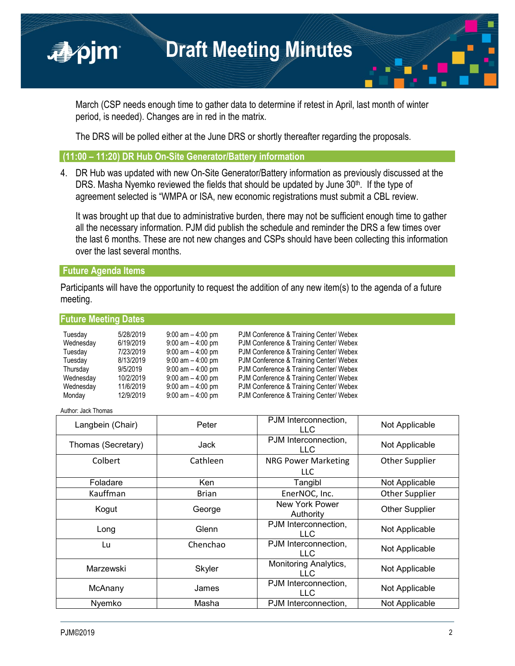March (CSP needs enough time to gather data to determine if retest in April, last month of winter period, is needed). Changes are in red in the matrix.

The DRS will be polled either at the June DRS or shortly thereafter regarding the proposals.

### **(11:00 – 11:20) DR Hub On-Site Generator/Battery information**

4. DR Hub was updated with new On-Site Generator/Battery information as previously discussed at the DRS. Masha Nyemko reviewed the fields that should be updated by June  $30<sup>th</sup>$ . If the type of agreement selected is "WMPA or ISA, new economic registrations must submit a CBL review.

It was brought up that due to administrative burden, there may not be sufficient enough time to gather all the necessary information. PJM did publish the schedule and reminder the DRS a few times over the last 6 months. These are not new changes and CSPs should have been collecting this information over the last several months.

### **Future Agenda Items**

■pim

**Future Meeting Dates**

Participants will have the opportunity to request the addition of any new item(s) to the agenda of a future meeting.

| <b>I AMIC MCCMIN DAILS</b> |           |                      |                                         |
|----------------------------|-----------|----------------------|-----------------------------------------|
| Tuesday                    | 5/28/2019 | $9:00$ am $-4:00$ pm | PJM Conference & Training Center/ Webex |
| Wednesday                  | 6/19/2019 | $9:00$ am $-4:00$ pm | PJM Conference & Training Center/ Webex |
| Tuesday                    | 7/23/2019 | $9:00$ am $-4:00$ pm | PJM Conference & Training Center/ Webex |
| Tuesday                    | 8/13/2019 | $9:00$ am $-4:00$ pm | PJM Conference & Training Center/ Webex |
| Thursday                   | 9/5/2019  | $9:00$ am $-4:00$ pm | PJM Conference & Training Center/ Webex |
| Wednesday                  | 10/2/2019 | $9:00$ am $-4:00$ pm | PJM Conference & Training Center/ Webex |
| Wednesday                  | 11/6/2019 | $9:00$ am $-4:00$ pm | PJM Conference & Training Center/ Webex |
| Monday                     | 12/9/2019 | $9:00$ am $-4:00$ pm | PJM Conference & Training Center/ Webex |
|                            |           |                      |                                         |

Author: Jack Thomas

| Langbein (Chair)   | Peter        | PJM Interconnection,<br>LLC.        | Not Applicable        |
|--------------------|--------------|-------------------------------------|-----------------------|
| Thomas (Secretary) | Jack         | PJM Interconnection,<br><b>LLC</b>  | Not Applicable        |
| Colbert            | Cathleen     | <b>NRG Power Marketing</b><br>LLC.  | <b>Other Supplier</b> |
| Foladare           | <b>Ken</b>   | Tangibl                             | Not Applicable        |
| Kauffman           | <b>Brian</b> | EnerNOC, Inc.                       | <b>Other Supplier</b> |
| Kogut              | George       | New York Power<br>Authority         | Other Supplier        |
| Long               | Glenn        | PJM Interconnection,<br>LLC.        | Not Applicable        |
| Lu                 | Chenchao     | PJM Interconnection,<br><b>LLC</b>  | Not Applicable        |
| Marzewski          | Skyler       | Monitoring Analytics,<br><b>LLC</b> | Not Applicable        |
| McAnany            | James        | PJM Interconnection,<br>LL C        | Not Applicable        |
| Nyemko             | Masha        | PJM Interconnection,                | Not Applicable        |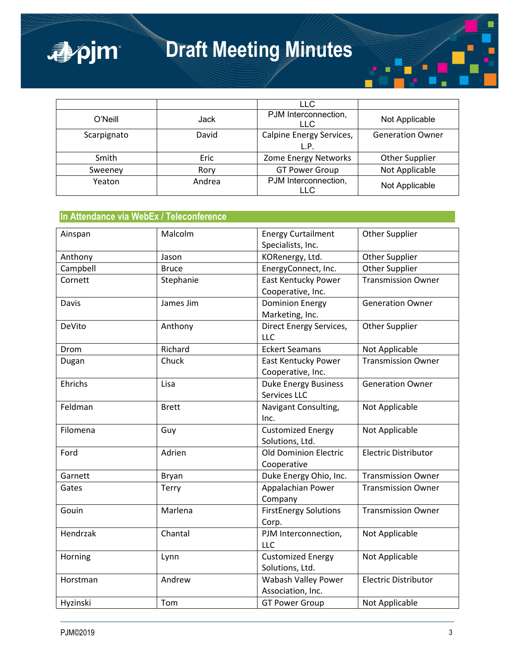

|             |        | <b>LLC</b>                         |                         |
|-------------|--------|------------------------------------|-------------------------|
| O'Neill     | Jack   | PJM Interconnection,<br><b>LLC</b> | Not Applicable          |
| Scarpignato | David  | Calpine Energy Services,           | <b>Generation Owner</b> |
|             |        | L.P.                               |                         |
| Smith       | Eric   | Zome Energy Networks               | <b>Other Supplier</b>   |
| Sweeney     | Rory   | <b>GT Power Group</b>              | Not Applicable          |
| Yeaton      | Andrea | PJM Interconnection,<br>LL C       | Not Applicable          |

## **In Attendance via WebEx / Teleconference**

| Ainspan  | Malcolm      | <b>Energy Curtailment</b>    | <b>Other Supplier</b>       |
|----------|--------------|------------------------------|-----------------------------|
|          |              | Specialists, Inc.            |                             |
| Anthony  | Jason        | KORenergy, Ltd.              | <b>Other Supplier</b>       |
| Campbell | <b>Bruce</b> | EnergyConnect, Inc.          | <b>Other Supplier</b>       |
| Cornett  | Stephanie    | East Kentucky Power          | <b>Transmission Owner</b>   |
|          |              | Cooperative, Inc.            |                             |
| Davis    | James Jim    | <b>Dominion Energy</b>       | <b>Generation Owner</b>     |
|          |              | Marketing, Inc.              |                             |
| DeVito   | Anthony      | Direct Energy Services,      | Other Supplier              |
|          |              | <b>LLC</b>                   |                             |
| Drom     | Richard      | <b>Eckert Seamans</b>        | Not Applicable              |
| Dugan    | Chuck        | <b>East Kentucky Power</b>   | <b>Transmission Owner</b>   |
|          |              | Cooperative, Inc.            |                             |
| Ehrichs  | Lisa         | <b>Duke Energy Business</b>  | <b>Generation Owner</b>     |
|          |              | Services LLC                 |                             |
| Feldman  | <b>Brett</b> | Navigant Consulting,         | Not Applicable              |
|          |              | Inc.                         |                             |
| Filomena | Guy          | <b>Customized Energy</b>     | Not Applicable              |
|          |              | Solutions, Ltd.              |                             |
| Ford     | Adrien       | Old Dominion Electric        | <b>Electric Distributor</b> |
|          |              | Cooperative                  |                             |
| Garnett  | Bryan        | Duke Energy Ohio, Inc.       | <b>Transmission Owner</b>   |
| Gates    | Terry        | Appalachian Power            | <b>Transmission Owner</b>   |
|          |              | Company                      |                             |
| Gouin    | Marlena      | <b>FirstEnergy Solutions</b> | <b>Transmission Owner</b>   |
|          |              | Corp.                        |                             |
| Hendrzak | Chantal      | PJM Interconnection,         | Not Applicable              |
|          |              | <b>LLC</b>                   |                             |
| Horning  | Lynn         | <b>Customized Energy</b>     | Not Applicable              |
|          |              | Solutions, Ltd.              |                             |
| Horstman | Andrew       | <b>Wabash Valley Power</b>   | <b>Electric Distributor</b> |
|          |              | Association, Inc.            |                             |
| Hyzinski | Tom          | <b>GT Power Group</b>        | Not Applicable              |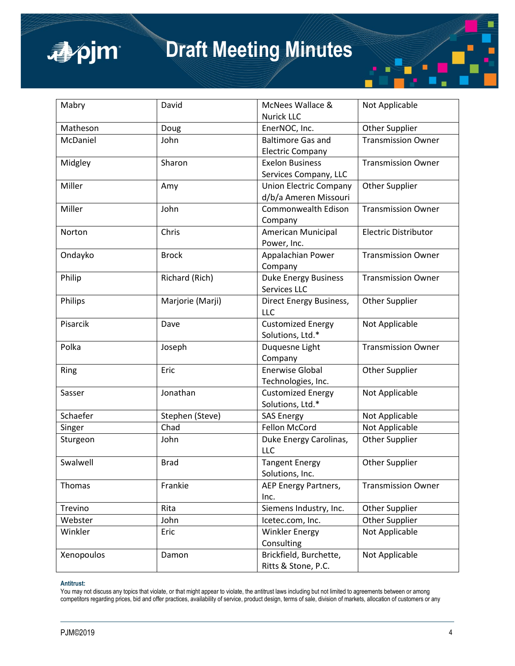

| Mabry      | David            | McNees Wallace &              | Not Applicable              |
|------------|------------------|-------------------------------|-----------------------------|
|            |                  | <b>Nurick LLC</b>             |                             |
| Matheson   | Doug             | EnerNOC, Inc.                 | <b>Other Supplier</b>       |
| McDaniel   | John             | <b>Baltimore Gas and</b>      | <b>Transmission Owner</b>   |
|            |                  | <b>Electric Company</b>       |                             |
| Midgley    | Sharon           | <b>Exelon Business</b>        | <b>Transmission Owner</b>   |
|            |                  | Services Company, LLC         |                             |
| Miller     | Amy              | <b>Union Electric Company</b> | <b>Other Supplier</b>       |
|            |                  | d/b/a Ameren Missouri         |                             |
| Miller     | John             | <b>Commonwealth Edison</b>    | <b>Transmission Owner</b>   |
|            |                  | Company                       |                             |
| Norton     | Chris            | American Municipal            | <b>Electric Distributor</b> |
|            |                  | Power, Inc.                   |                             |
| Ondayko    | <b>Brock</b>     | Appalachian Power             | <b>Transmission Owner</b>   |
|            |                  | Company                       |                             |
| Philip     | Richard (Rich)   | <b>Duke Energy Business</b>   | <b>Transmission Owner</b>   |
|            |                  | <b>Services LLC</b>           |                             |
| Philips    | Marjorie (Marji) | Direct Energy Business,       | <b>Other Supplier</b>       |
|            |                  | <b>LLC</b>                    |                             |
| Pisarcik   | Dave             | <b>Customized Energy</b>      | Not Applicable              |
|            |                  | Solutions, Ltd.*              |                             |
| Polka      | Joseph           | Duquesne Light                | <b>Transmission Owner</b>   |
|            |                  | Company                       |                             |
| Ring       | Eric             | <b>Enerwise Global</b>        | <b>Other Supplier</b>       |
|            |                  | Technologies, Inc.            |                             |
| Sasser     | Jonathan         | <b>Customized Energy</b>      | Not Applicable              |
|            |                  | Solutions, Ltd.*              |                             |
| Schaefer   | Stephen (Steve)  | <b>SAS Energy</b>             | Not Applicable              |
| Singer     | Chad             | <b>Fellon McCord</b>          | Not Applicable              |
| Sturgeon   | John             | Duke Energy Carolinas,        | Other Supplier              |
|            |                  | LLC                           |                             |
| Swalwell   | <b>Brad</b>      | <b>Tangent Energy</b>         | <b>Other Supplier</b>       |
|            |                  | Solutions, Inc.               |                             |
| Thomas     | Frankie          | AEP Energy Partners,          | <b>Transmission Owner</b>   |
|            |                  | Inc.                          |                             |
| Trevino    | Rita             | Siemens Industry, Inc.        | <b>Other Supplier</b>       |
| Webster    | John             | Icetec.com, Inc.              | <b>Other Supplier</b>       |
| Winkler    | Eric             | <b>Winkler Energy</b>         | Not Applicable              |
|            |                  | Consulting                    |                             |
| Xenopoulos | Damon            | Brickfield, Burchette,        | Not Applicable              |
|            |                  | Ritts & Stone, P.C.           |                             |

#### **Antitrust:**

You may not discuss any topics that violate, or that might appear to violate, the antitrust laws including but not limited to agreements between or among competitors regarding prices, bid and offer practices, availability of service, product design, terms of sale, division of markets, allocation of customers or any